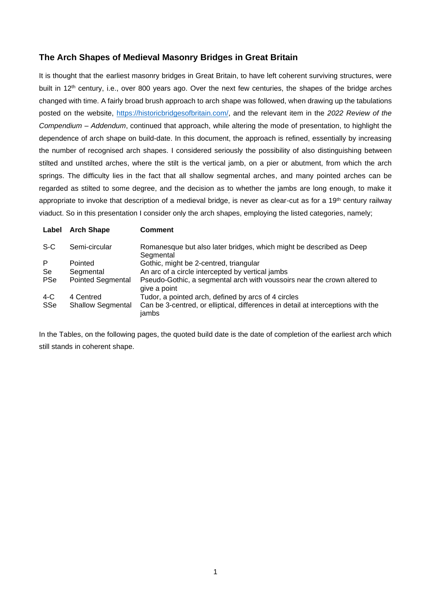### **The Arch Shapes of Medieval Masonry Bridges in Great Britain**

It is thought that the earliest masonry bridges in Great Britain, to have left coherent surviving structures, were built in 12<sup>th</sup> century, i.e., over 800 years ago. Over the next few centuries, the shapes of the bridge arches changed with time. A fairly broad brush approach to arch shape was followed, when drawing up the tabulations posted on the website, [https://historicbridgesofbritain.com/,](https://historicbridgesofbritain.com/) and the relevant item in the *2022 Review of the Compendium – Addendum*, continued that approach, while altering the mode of presentation, to highlight the dependence of arch shape on build-date. In this document, the approach is refined, essentially by increasing the number of recognised arch shapes. I considered seriously the possibility of also distinguishing between stilted and unstilted arches, where the stilt is the vertical jamb, on a pier or abutment, from which the arch springs. The difficulty lies in the fact that all shallow segmental arches, and many pointed arches can be regarded as stilted to some degree, and the decision as to whether the jambs are long enough, to make it appropriate to invoke that description of a medieval bridge, is never as clear-cut as for a 19<sup>th</sup> century railway viaduct. So in this presentation I consider only the arch shapes, employing the listed categories, namely;

| <b>Arch Shape</b>        | <b>Comment</b>                                                                            |
|--------------------------|-------------------------------------------------------------------------------------------|
| Semi-circular            | Romanesque but also later bridges, which might be described as Deep<br>Segmental          |
| Pointed                  | Gothic, might be 2-centred, triangular                                                    |
| Segmental                | An arc of a circle intercepted by vertical jambs                                          |
| <b>Pointed Segmental</b> | Pseudo-Gothic, a segmental arch with voussoirs near the crown altered to<br>give a point  |
| 4 Centred                | Tudor, a pointed arch, defined by arcs of 4 circles                                       |
| <b>Shallow Segmental</b> | Can be 3-centred, or elliptical, differences in detail at interceptions with the<br>jambs |
|                          |                                                                                           |

In the Tables, on the following pages, the quoted build date is the date of completion of the earliest arch which still stands in coherent shape.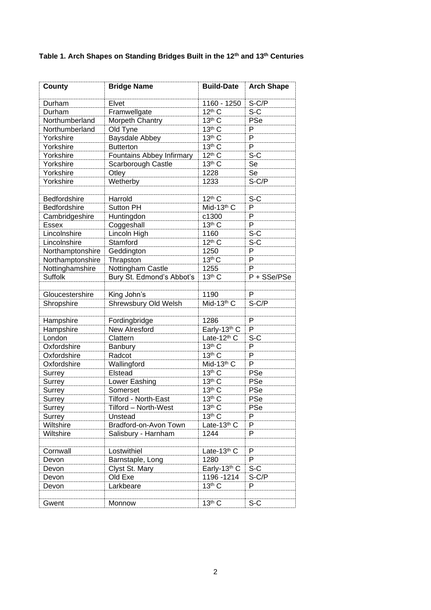# **Table 1. Arch Shapes on Standing Bridges Built in the 12th and 13th Centuries**

| County           | <b>Bridge Name</b>          | <b>Build-Date</b>  | <b>Arch Shape</b> |
|------------------|-----------------------------|--------------------|-------------------|
| Durham           | Elvet                       | 1160 - 1250        | $S-C/P$           |
| Durham           | Framwellgate                | 12 <sup>th</sup> C | $S-C$             |
| Northumberland   | Morpeth Chantry             | 13th C             | PSe               |
| Northumberland   | Old Tyne                    | 13th C             | P                 |
| Yorkshire        | <b>Baysdale Abbey</b>       | 13th C             | P                 |
| Yorkshire        | <b>Butterton</b>            | 13th C             | $\overline{P}$    |
| Yorkshire        | Fountains Abbey Infirmary   | 12 <sup>th</sup> C | $S-C$             |
| Yorkshire        | Scarborough Castle          | 13th C             | Se                |
| Yorkshire        | Otley                       | 1228               | Se                |
| Yorkshire        | Wetherby                    | 1233               | $S-C/P$           |
|                  |                             |                    |                   |
| Bedfordshire     | Harrold                     | $12th$ C           | $S-C$             |
| Bedfordshire     | <b>Sutton PH</b>            | Mid-13th C         | P                 |
| Cambridgeshire   | Huntingdon                  | c1300              | P                 |
| <b>Essex</b>     | Coggeshall                  | 13th C             | $\overline{P}$    |
| Lincolnshire     | Lincoln High                | 1160               | $S-C$             |
| Lincolnshire     | Stamford                    | $12th$ C           | $S-C$             |
| Northamptonshire | Geddington                  | 1250               | P                 |
| Northamptonshire | Thrapston                   | 13th C             | P                 |
| Nottinghamshire  | Nottingham Castle           | 1255               | P                 |
| Suffolk          | Bury St. Edmond's Abbot's   | 13th C             | P + SSe/PSe       |
|                  |                             |                    |                   |
| Gloucestershire  | King John's                 | 1190               | P                 |
| Shropshire       | Shrewsbury Old Welsh        | Mid-13th C         | $S-C/P$           |
|                  |                             |                    |                   |
| Hampshire        | Fordingbridge               | 1286               | $\overline{P}$    |
| Hampshire        | <b>New Alresford</b>        | Early-13th C       | $\overline{P}$    |
| London           | Clattern                    | Late- $12^{th}$ C  | $S-C$             |
| Oxfordshire      | Banbury                     | 13th C             | $\overline{P}$    |
| Oxfordshire      | Radcot                      | 13th C             | $\overline{P}$    |
| Oxfordshire      | Wallingford                 | Mid-13th C         | $\overline{P}$    |
| Surrey           | Elstead                     | 13th C             | PSe               |
| Surrey           | Lower Eashing               | 13th C             | PSe               |
| Surrey           | Somerset                    | 13th C             | PSe               |
| Surrey           | <b>Tilford - North-East</b> | 13th C             | PSe               |
| Surrey           | Tilford - North-West        | 13th C             | <b>PSe</b>        |
| Surrey           | Unstead                     | 13th C             | P                 |
| Wiltshire        | Bradford-on-Avon Town       | Late-13th C        | $\overline{P}$    |
| Wiltshire        | Salisbury - Harnham         | 1244               | P                 |
|                  |                             |                    |                   |
| Cornwall         | Lostwithiel                 | Late-13th C        | P                 |
| Devon            | Barnstaple, Long            | 1280               | $\overline{P}$    |
| Devon            | Clyst St. Mary              | Early-13th C       | $S-C$             |
| Devon            | Old Exe                     | 1196 - 1214        | $S-C/P$           |
| Devon            | Larkbeare                   | 13th C             | P                 |
|                  |                             |                    |                   |
| Gwent            | Monnow                      | 13th C             | $S-C$             |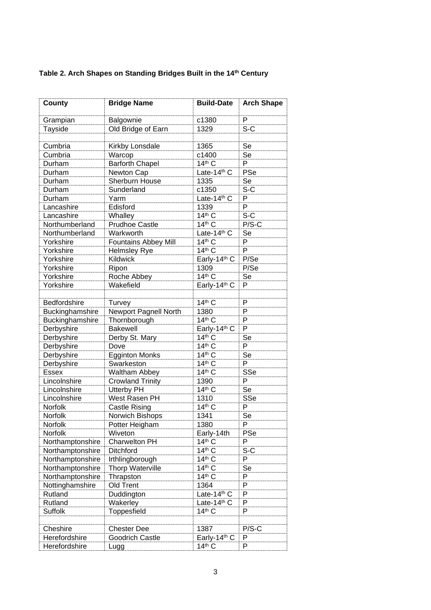## **Table 2. Arch Shapes on Standing Bridges Built in the 14th Century**

| P<br>c1380<br>Balgownie<br>Grampian<br>$S-C$<br>Old Bridge of Earn<br>1329<br>Tayside<br>1365<br>Cumbria<br>Kirkby Lonsdale<br>Se<br>Se<br>Cumbria<br>Warcop<br>c1400<br><b>Barforth Chapel</b><br>$14th$ C<br>P<br>Durham<br>Late- $14th$ C<br>PSe<br>Newton Cap<br>Durham<br>Sherburn House<br>Se<br>1335<br>Durham<br>$S-C$<br>Sunderland<br>c1350<br>Durham<br>Late-14th C<br>P<br>Yarm<br>Durham<br>P<br>Lancashire<br>1339<br>Edisford<br>$\overline{S-C}$<br>$14th$ C<br>Lancashire<br>Whalley<br>$14th$ C<br>$P/S-C$<br><b>Prudhoe Castle</b><br>Northumberland<br>Late-14th C<br>Se<br>Northumberland<br>Warkworth<br><b>Fountains Abbey Mill</b><br>$14th$ C<br>P<br>Yorkshire<br>$14th$ C<br>P<br><b>Helmsley Rye</b><br>Yorkshire<br>Early-14th C<br>P/Se<br>Kildwick<br>Yorkshire<br>1309<br>P/Se<br>Yorkshire<br>Ripon<br>$14th$ C<br>Roche Abbey<br>Se<br>Yorkshire<br>Early-14th C<br>P<br>Wakefield<br>Yorkshire<br>$14th$ C<br>$\overline{P}$<br>Bedfordshire<br>Turvey<br><b>Newport Pagnell North</b><br>$\overline{P}$<br>1380<br>Buckinghamshire<br>$14th$ C<br>$\overline{P}$<br>Buckinghamshire<br>Thornborough<br>Early-14th C<br>$\overline{P}$<br>Derbyshire<br><b>Bakewell</b><br>Derby St. Mary<br>$14th$ C<br>Se<br>Derbyshire<br>$14th$ C<br>$\overline{P}$<br>Derbyshire<br>Dove<br>$14th$ C<br>Se<br>Derbyshire<br><b>Egginton Monks</b><br>$14th$ C<br>$\overline{P}$<br>Derbyshire<br>Swarkeston<br>14th C<br>SSe<br><b>Essex</b><br>Waltham Abbey<br>$\overline{P}$<br><b>Crowland Trinity</b><br>Lincolnshire<br>1390<br>$14th$ C<br>Se<br><b>Utterby PH</b><br>Lincolnshire<br>West Rasen PH<br>1310<br>SSe<br>Lincolnshire<br>$14th$ C<br>$\overline{P}$<br>Norfolk<br><b>Castle Rising</b><br>Se<br>Norwich Bishops<br>1341<br><b>Norfolk</b> | County | <b>Bridge Name</b> | <b>Build-Date</b> | <b>Arch Shape</b> |
|---------------------------------------------------------------------------------------------------------------------------------------------------------------------------------------------------------------------------------------------------------------------------------------------------------------------------------------------------------------------------------------------------------------------------------------------------------------------------------------------------------------------------------------------------------------------------------------------------------------------------------------------------------------------------------------------------------------------------------------------------------------------------------------------------------------------------------------------------------------------------------------------------------------------------------------------------------------------------------------------------------------------------------------------------------------------------------------------------------------------------------------------------------------------------------------------------------------------------------------------------------------------------------------------------------------------------------------------------------------------------------------------------------------------------------------------------------------------------------------------------------------------------------------------------------------------------------------------------------------------------------------------------------------------------------------------------------------------------------------------------------------------------------------|--------|--------------------|-------------------|-------------------|
|                                                                                                                                                                                                                                                                                                                                                                                                                                                                                                                                                                                                                                                                                                                                                                                                                                                                                                                                                                                                                                                                                                                                                                                                                                                                                                                                                                                                                                                                                                                                                                                                                                                                                                                                                                                       |        |                    |                   |                   |
|                                                                                                                                                                                                                                                                                                                                                                                                                                                                                                                                                                                                                                                                                                                                                                                                                                                                                                                                                                                                                                                                                                                                                                                                                                                                                                                                                                                                                                                                                                                                                                                                                                                                                                                                                                                       |        |                    |                   |                   |
|                                                                                                                                                                                                                                                                                                                                                                                                                                                                                                                                                                                                                                                                                                                                                                                                                                                                                                                                                                                                                                                                                                                                                                                                                                                                                                                                                                                                                                                                                                                                                                                                                                                                                                                                                                                       |        |                    |                   |                   |
|                                                                                                                                                                                                                                                                                                                                                                                                                                                                                                                                                                                                                                                                                                                                                                                                                                                                                                                                                                                                                                                                                                                                                                                                                                                                                                                                                                                                                                                                                                                                                                                                                                                                                                                                                                                       |        |                    |                   |                   |
|                                                                                                                                                                                                                                                                                                                                                                                                                                                                                                                                                                                                                                                                                                                                                                                                                                                                                                                                                                                                                                                                                                                                                                                                                                                                                                                                                                                                                                                                                                                                                                                                                                                                                                                                                                                       |        |                    |                   |                   |
|                                                                                                                                                                                                                                                                                                                                                                                                                                                                                                                                                                                                                                                                                                                                                                                                                                                                                                                                                                                                                                                                                                                                                                                                                                                                                                                                                                                                                                                                                                                                                                                                                                                                                                                                                                                       |        |                    |                   |                   |
|                                                                                                                                                                                                                                                                                                                                                                                                                                                                                                                                                                                                                                                                                                                                                                                                                                                                                                                                                                                                                                                                                                                                                                                                                                                                                                                                                                                                                                                                                                                                                                                                                                                                                                                                                                                       |        |                    |                   |                   |
|                                                                                                                                                                                                                                                                                                                                                                                                                                                                                                                                                                                                                                                                                                                                                                                                                                                                                                                                                                                                                                                                                                                                                                                                                                                                                                                                                                                                                                                                                                                                                                                                                                                                                                                                                                                       |        |                    |                   |                   |
|                                                                                                                                                                                                                                                                                                                                                                                                                                                                                                                                                                                                                                                                                                                                                                                                                                                                                                                                                                                                                                                                                                                                                                                                                                                                                                                                                                                                                                                                                                                                                                                                                                                                                                                                                                                       |        |                    |                   |                   |
|                                                                                                                                                                                                                                                                                                                                                                                                                                                                                                                                                                                                                                                                                                                                                                                                                                                                                                                                                                                                                                                                                                                                                                                                                                                                                                                                                                                                                                                                                                                                                                                                                                                                                                                                                                                       |        |                    |                   |                   |
|                                                                                                                                                                                                                                                                                                                                                                                                                                                                                                                                                                                                                                                                                                                                                                                                                                                                                                                                                                                                                                                                                                                                                                                                                                                                                                                                                                                                                                                                                                                                                                                                                                                                                                                                                                                       |        |                    |                   |                   |
|                                                                                                                                                                                                                                                                                                                                                                                                                                                                                                                                                                                                                                                                                                                                                                                                                                                                                                                                                                                                                                                                                                                                                                                                                                                                                                                                                                                                                                                                                                                                                                                                                                                                                                                                                                                       |        |                    |                   |                   |
|                                                                                                                                                                                                                                                                                                                                                                                                                                                                                                                                                                                                                                                                                                                                                                                                                                                                                                                                                                                                                                                                                                                                                                                                                                                                                                                                                                                                                                                                                                                                                                                                                                                                                                                                                                                       |        |                    |                   |                   |
|                                                                                                                                                                                                                                                                                                                                                                                                                                                                                                                                                                                                                                                                                                                                                                                                                                                                                                                                                                                                                                                                                                                                                                                                                                                                                                                                                                                                                                                                                                                                                                                                                                                                                                                                                                                       |        |                    |                   |                   |
|                                                                                                                                                                                                                                                                                                                                                                                                                                                                                                                                                                                                                                                                                                                                                                                                                                                                                                                                                                                                                                                                                                                                                                                                                                                                                                                                                                                                                                                                                                                                                                                                                                                                                                                                                                                       |        |                    |                   |                   |
|                                                                                                                                                                                                                                                                                                                                                                                                                                                                                                                                                                                                                                                                                                                                                                                                                                                                                                                                                                                                                                                                                                                                                                                                                                                                                                                                                                                                                                                                                                                                                                                                                                                                                                                                                                                       |        |                    |                   |                   |
|                                                                                                                                                                                                                                                                                                                                                                                                                                                                                                                                                                                                                                                                                                                                                                                                                                                                                                                                                                                                                                                                                                                                                                                                                                                                                                                                                                                                                                                                                                                                                                                                                                                                                                                                                                                       |        |                    |                   |                   |
|                                                                                                                                                                                                                                                                                                                                                                                                                                                                                                                                                                                                                                                                                                                                                                                                                                                                                                                                                                                                                                                                                                                                                                                                                                                                                                                                                                                                                                                                                                                                                                                                                                                                                                                                                                                       |        |                    |                   |                   |
|                                                                                                                                                                                                                                                                                                                                                                                                                                                                                                                                                                                                                                                                                                                                                                                                                                                                                                                                                                                                                                                                                                                                                                                                                                                                                                                                                                                                                                                                                                                                                                                                                                                                                                                                                                                       |        |                    |                   |                   |
|                                                                                                                                                                                                                                                                                                                                                                                                                                                                                                                                                                                                                                                                                                                                                                                                                                                                                                                                                                                                                                                                                                                                                                                                                                                                                                                                                                                                                                                                                                                                                                                                                                                                                                                                                                                       |        |                    |                   |                   |
|                                                                                                                                                                                                                                                                                                                                                                                                                                                                                                                                                                                                                                                                                                                                                                                                                                                                                                                                                                                                                                                                                                                                                                                                                                                                                                                                                                                                                                                                                                                                                                                                                                                                                                                                                                                       |        |                    |                   |                   |
|                                                                                                                                                                                                                                                                                                                                                                                                                                                                                                                                                                                                                                                                                                                                                                                                                                                                                                                                                                                                                                                                                                                                                                                                                                                                                                                                                                                                                                                                                                                                                                                                                                                                                                                                                                                       |        |                    |                   |                   |
|                                                                                                                                                                                                                                                                                                                                                                                                                                                                                                                                                                                                                                                                                                                                                                                                                                                                                                                                                                                                                                                                                                                                                                                                                                                                                                                                                                                                                                                                                                                                                                                                                                                                                                                                                                                       |        |                    |                   |                   |
|                                                                                                                                                                                                                                                                                                                                                                                                                                                                                                                                                                                                                                                                                                                                                                                                                                                                                                                                                                                                                                                                                                                                                                                                                                                                                                                                                                                                                                                                                                                                                                                                                                                                                                                                                                                       |        |                    |                   |                   |
|                                                                                                                                                                                                                                                                                                                                                                                                                                                                                                                                                                                                                                                                                                                                                                                                                                                                                                                                                                                                                                                                                                                                                                                                                                                                                                                                                                                                                                                                                                                                                                                                                                                                                                                                                                                       |        |                    |                   |                   |
|                                                                                                                                                                                                                                                                                                                                                                                                                                                                                                                                                                                                                                                                                                                                                                                                                                                                                                                                                                                                                                                                                                                                                                                                                                                                                                                                                                                                                                                                                                                                                                                                                                                                                                                                                                                       |        |                    |                   |                   |
|                                                                                                                                                                                                                                                                                                                                                                                                                                                                                                                                                                                                                                                                                                                                                                                                                                                                                                                                                                                                                                                                                                                                                                                                                                                                                                                                                                                                                                                                                                                                                                                                                                                                                                                                                                                       |        |                    |                   |                   |
|                                                                                                                                                                                                                                                                                                                                                                                                                                                                                                                                                                                                                                                                                                                                                                                                                                                                                                                                                                                                                                                                                                                                                                                                                                                                                                                                                                                                                                                                                                                                                                                                                                                                                                                                                                                       |        |                    |                   |                   |
|                                                                                                                                                                                                                                                                                                                                                                                                                                                                                                                                                                                                                                                                                                                                                                                                                                                                                                                                                                                                                                                                                                                                                                                                                                                                                                                                                                                                                                                                                                                                                                                                                                                                                                                                                                                       |        |                    |                   |                   |
|                                                                                                                                                                                                                                                                                                                                                                                                                                                                                                                                                                                                                                                                                                                                                                                                                                                                                                                                                                                                                                                                                                                                                                                                                                                                                                                                                                                                                                                                                                                                                                                                                                                                                                                                                                                       |        |                    |                   |                   |
|                                                                                                                                                                                                                                                                                                                                                                                                                                                                                                                                                                                                                                                                                                                                                                                                                                                                                                                                                                                                                                                                                                                                                                                                                                                                                                                                                                                                                                                                                                                                                                                                                                                                                                                                                                                       |        |                    |                   |                   |
|                                                                                                                                                                                                                                                                                                                                                                                                                                                                                                                                                                                                                                                                                                                                                                                                                                                                                                                                                                                                                                                                                                                                                                                                                                                                                                                                                                                                                                                                                                                                                                                                                                                                                                                                                                                       |        |                    |                   |                   |
|                                                                                                                                                                                                                                                                                                                                                                                                                                                                                                                                                                                                                                                                                                                                                                                                                                                                                                                                                                                                                                                                                                                                                                                                                                                                                                                                                                                                                                                                                                                                                                                                                                                                                                                                                                                       |        |                    |                   |                   |
|                                                                                                                                                                                                                                                                                                                                                                                                                                                                                                                                                                                                                                                                                                                                                                                                                                                                                                                                                                                                                                                                                                                                                                                                                                                                                                                                                                                                                                                                                                                                                                                                                                                                                                                                                                                       |        |                    |                   |                   |
|                                                                                                                                                                                                                                                                                                                                                                                                                                                                                                                                                                                                                                                                                                                                                                                                                                                                                                                                                                                                                                                                                                                                                                                                                                                                                                                                                                                                                                                                                                                                                                                                                                                                                                                                                                                       |        |                    |                   |                   |
| Norfolk<br>Potter Heigham<br>P<br>1380                                                                                                                                                                                                                                                                                                                                                                                                                                                                                                                                                                                                                                                                                                                                                                                                                                                                                                                                                                                                                                                                                                                                                                                                                                                                                                                                                                                                                                                                                                                                                                                                                                                                                                                                                |        |                    |                   |                   |
| PSe<br>Norfolk<br>Wiveton<br>Early-14th                                                                                                                                                                                                                                                                                                                                                                                                                                                                                                                                                                                                                                                                                                                                                                                                                                                                                                                                                                                                                                                                                                                                                                                                                                                                                                                                                                                                                                                                                                                                                                                                                                                                                                                                               |        |                    |                   |                   |
| 14th C<br>P<br>Charwelton PH<br>Northamptonshire                                                                                                                                                                                                                                                                                                                                                                                                                                                                                                                                                                                                                                                                                                                                                                                                                                                                                                                                                                                                                                                                                                                                                                                                                                                                                                                                                                                                                                                                                                                                                                                                                                                                                                                                      |        |                    |                   |                   |
| 14th C<br>$S-C$<br>Northamptonshire<br>Ditchford                                                                                                                                                                                                                                                                                                                                                                                                                                                                                                                                                                                                                                                                                                                                                                                                                                                                                                                                                                                                                                                                                                                                                                                                                                                                                                                                                                                                                                                                                                                                                                                                                                                                                                                                      |        |                    |                   |                   |
| $\overline{P}$<br>14th C<br>Northamptonshire<br>Irthlingborough                                                                                                                                                                                                                                                                                                                                                                                                                                                                                                                                                                                                                                                                                                                                                                                                                                                                                                                                                                                                                                                                                                                                                                                                                                                                                                                                                                                                                                                                                                                                                                                                                                                                                                                       |        |                    |                   |                   |
| 14th C<br>Se<br><b>Thorp Waterville</b><br>Northamptonshire                                                                                                                                                                                                                                                                                                                                                                                                                                                                                                                                                                                                                                                                                                                                                                                                                                                                                                                                                                                                                                                                                                                                                                                                                                                                                                                                                                                                                                                                                                                                                                                                                                                                                                                           |        |                    |                   |                   |
| $14th$ C<br>P<br>Northamptonshire<br>Thrapston                                                                                                                                                                                                                                                                                                                                                                                                                                                                                                                                                                                                                                                                                                                                                                                                                                                                                                                                                                                                                                                                                                                                                                                                                                                                                                                                                                                                                                                                                                                                                                                                                                                                                                                                        |        |                    |                   |                   |
| $\overline{P}$<br>Nottinghamshire<br>Old Trent<br>1364                                                                                                                                                                                                                                                                                                                                                                                                                                                                                                                                                                                                                                                                                                                                                                                                                                                                                                                                                                                                                                                                                                                                                                                                                                                                                                                                                                                                                                                                                                                                                                                                                                                                                                                                |        |                    |                   |                   |
| Late-14th C<br>P<br>Rutland<br>Duddington                                                                                                                                                                                                                                                                                                                                                                                                                                                                                                                                                                                                                                                                                                                                                                                                                                                                                                                                                                                                                                                                                                                                                                                                                                                                                                                                                                                                                                                                                                                                                                                                                                                                                                                                             |        |                    |                   |                   |
| P<br>Wakerley<br>Late-14th C<br>Rutland                                                                                                                                                                                                                                                                                                                                                                                                                                                                                                                                                                                                                                                                                                                                                                                                                                                                                                                                                                                                                                                                                                                                                                                                                                                                                                                                                                                                                                                                                                                                                                                                                                                                                                                                               |        |                    |                   |                   |
| 14th C<br>Suffolk<br>P<br>Toppesfield                                                                                                                                                                                                                                                                                                                                                                                                                                                                                                                                                                                                                                                                                                                                                                                                                                                                                                                                                                                                                                                                                                                                                                                                                                                                                                                                                                                                                                                                                                                                                                                                                                                                                                                                                 |        |                    |                   |                   |
|                                                                                                                                                                                                                                                                                                                                                                                                                                                                                                                                                                                                                                                                                                                                                                                                                                                                                                                                                                                                                                                                                                                                                                                                                                                                                                                                                                                                                                                                                                                                                                                                                                                                                                                                                                                       |        |                    |                   |                   |
| $P/S-C$<br>Cheshire<br>1387<br><b>Chester Dee</b>                                                                                                                                                                                                                                                                                                                                                                                                                                                                                                                                                                                                                                                                                                                                                                                                                                                                                                                                                                                                                                                                                                                                                                                                                                                                                                                                                                                                                                                                                                                                                                                                                                                                                                                                     |        |                    |                   |                   |
| Early-14th C<br>Herefordshire<br><b>Goodrich Castle</b><br>P                                                                                                                                                                                                                                                                                                                                                                                                                                                                                                                                                                                                                                                                                                                                                                                                                                                                                                                                                                                                                                                                                                                                                                                                                                                                                                                                                                                                                                                                                                                                                                                                                                                                                                                          |        |                    |                   |                   |
| 14th C<br>Herefordshire<br>P<br>Lugg                                                                                                                                                                                                                                                                                                                                                                                                                                                                                                                                                                                                                                                                                                                                                                                                                                                                                                                                                                                                                                                                                                                                                                                                                                                                                                                                                                                                                                                                                                                                                                                                                                                                                                                                                  |        |                    |                   |                   |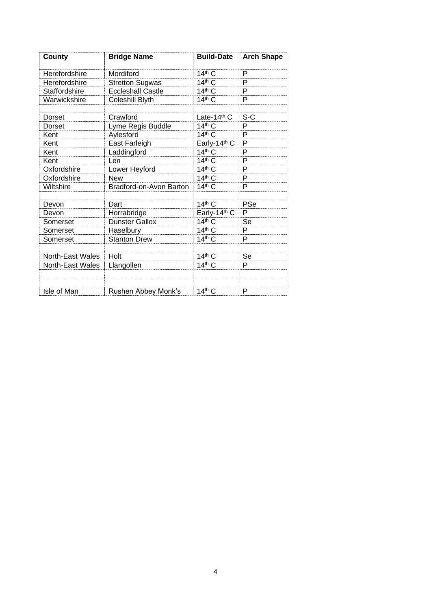| County           | <b>Bridge Name</b>       |                         | <b>Build-Date   Arch Shape</b> |
|------------------|--------------------------|-------------------------|--------------------------------|
| Herefordshire    | Mordiford                | $14th$ C                | P                              |
| Herefordshire    | <b>Stretton Sugwas</b>   | $14th$ C                | P                              |
| Staffordshire    | <b>Eccleshall Castle</b> | 14th $C$                | P                              |
| Warwickshire     | Coleshill Blyth          | $14th$ C                | P                              |
|                  |                          |                         |                                |
| Dorset           | Crawford                 | Late-14 <sup>th</sup> C | $S-C$                          |
| <b>Dorset</b>    | Lyme Regis Buddle        | $14th$ C                | P                              |
| Kent             | Aylesford                | $14th$ C                | P                              |
| Kent             | East Farleigh            | Early-14th C            | P                              |
| Kent             | Laddingford              | $14th$ C                | P                              |
| Kent             | Len                      | $14th$ C                | P                              |
| Oxfordshire      | Lower Heyford            | $14th$ C                | P                              |
| Oxfordshire      | <b>New</b>               | 14th $C$                | P                              |
| Wiltshire        | Bradford-on-Avon Barton  | $14th$ C                | P                              |
|                  |                          |                         |                                |
| Devon            | Dart                     | $14th$ C                | PSe                            |
| Devon            | Horrabridge              | Early-14th C            | P                              |
| Somerset         | <b>Dunster Gallox</b>    | $14th$ C                | Se                             |
| Somerset         | Haselbury                | $14th$ C                | P                              |
| Somerset         | <b>Stanton Drew</b>      | $14th$ C                | P                              |
|                  |                          |                         |                                |
| North-East Wales | Holt                     | $14th$ C                | Se                             |
| North-East Wales | Llangollen               | 14th C                  | P                              |
|                  |                          |                         |                                |
|                  |                          |                         |                                |
| Isle of Man      | Rushen Abbey Monk's      | $14th$ C                | P                              |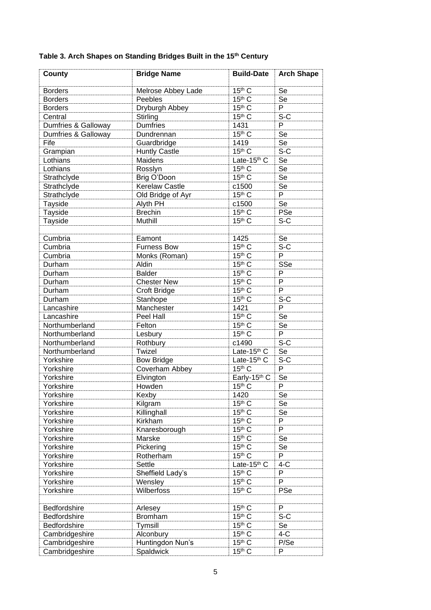| Table 3. Arch Shapes on Standing Bridges Built in the 15 <sup>th</sup> Century |  |  |
|--------------------------------------------------------------------------------|--|--|
|--------------------------------------------------------------------------------|--|--|

| County              | <b>Bridge Name</b>    | <b>Build-Date</b> | <b>Arch Shape</b> |
|---------------------|-----------------------|-------------------|-------------------|
| <b>Borders</b>      | Melrose Abbey Lade    | $15th$ C          | Se                |
| <b>Borders</b>      | Peebles               | $15th$ C          | Se                |
| <b>Borders</b>      | Dryburgh Abbey        | $15th$ C          | P                 |
| Central             | Stirling              | $15th$ C          | $S-C$             |
| Dumfries & Galloway | <b>Dumfries</b>       | 1431              | P                 |
| Dumfries & Galloway | Dundrennan            | $15th$ C          | Se                |
| Fife                | Guardbridge           | 1419              | Se                |
| Grampian            | <b>Huntly Castle</b>  | $15th$ C          | $S-C$             |
| Lothians            | <b>Maidens</b>        | Late-15th C       | Se                |
| Lothians            | Rosslyn               | $15th$ C          | Se                |
| Strathclyde         | Brig O'Doon           | $15th$ C          | Se                |
| Strathclyde         | <b>Kerelaw Castle</b> | c1500             | Se                |
| Strathclyde         | Old Bridge of Ayr     | $15th$ C          | P                 |
| Tayside             | Alyth PH              | c1500             | Se                |
| Tayside             | <b>Brechin</b>        | $15th$ C          | PSe               |
| Tayside             | Muthill               | $15th$ C          | $S-C$             |
|                     |                       |                   |                   |
| Cumbria             | Eamont                | 1425              | Se                |
| Cumbria             | <b>Furness Bow</b>    | $15th$ C          | $S-C$             |
| Cumbria             | Monks (Roman)         | $15th$ C          | P                 |
| Durham              | Aldin                 | $15th$ C          | SSe               |
| Durham              | <b>Balder</b>         | $15th$ C          | P                 |
| Durham              | <b>Chester New</b>    | $15th$ C          | P                 |
| Durham              | Croft Bridge          | $15th$ C          | P                 |
| Durham              | Stanhope              | $15th$ C          | $S-C$             |
| Lancashire          | Manchester            | 1421              | P                 |
| Lancashire          | Peel Hall             | $15th$ C          | Se                |
| Northumberland      | Felton                | $15th$ C          | Se                |
| Northumberland      | Lesbury               | $15th$ C          | P                 |
| Northumberland      | Rothbury              | c1490             | $S-C$             |
| Northumberland      | Twizel                | Late-15th C       | Se                |
| Yorkshire           | <b>Bow Bridge</b>     | Late-15th C       | $S-C$             |
| Yorkshire           | Coverham Abbey        | 15th C            | $\overline{P}$    |
| Yorkshire           | Elvington             | Early-15th C      | Se                |
| Yorkshire           | Howden                | $15th$ C          | P                 |
| Yorkshire           | Kexby                 | 1420              | Se                |
| Yorkshire           | Kilgram               | $15th$ C          | Se                |
| Yorkshire           | Killinghall           | $15th$ C          | Se                |
| Yorkshire           | Kirkham               | $15th$ C          | P                 |
| Yorkshire           | Knaresborough         | $15th$ C          | P                 |
| Yorkshire           | Marske                | $15th$ C          | Se                |
| Yorkshire           | Pickering             | $15th$ C          | Se                |
| Yorkshire           | Rotherham             | 15th C            | P                 |
| Yorkshire           | Settle                | Late-15th C       | $4-C$             |
| Yorkshire           | Sheffield Lady's      | $15th$ C          | P                 |
| Yorkshire           | Wensley               | $15th$ C          | P                 |
| Yorkshire           | Wilberfoss            | $15th$ C          | PSe               |
|                     |                       |                   |                   |
| Bedfordshire        | Arlesey               | $15th$ C          | P                 |
| Bedfordshire        | <b>Bromham</b>        | $15th$ C          | $S-C$             |
| Bedfordshire        | <b>Tymsill</b>        | $15th$ C          | Se                |
| Cambridgeshire      | Alconbury             | $15th$ C          | $4-C$             |
| Cambridgeshire      | Huntingdon Nun's      | 15th C            | P/Se              |
| Cambridgeshire      | Spaldwick             | $15th$ C          | P                 |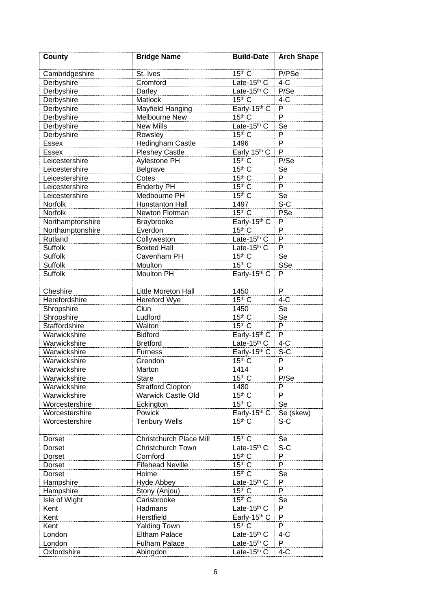| <b>County</b>    | <b>Bridge Name</b>        | <b>Build-Date</b> | <b>Arch Shape</b> |
|------------------|---------------------------|-------------------|-------------------|
| Cambridgeshire   | St. Ives                  | $15th$ C          | P/PSe             |
| Derbyshire       | Cromford                  | Late-15th C       | $4-C$             |
| Derbyshire       | Darley                    | Late-15th C       | P/Se              |
| Derbyshire       | <b>Matlock</b>            | $15th$ C          | $4-C$             |
| Derbyshire       | Mayfield Hanging          | Early-15th C      | P                 |
| Derbyshire       | Melbourne New             | $15th$ C          | Р                 |
| Derbyshire       | <b>New Mills</b>          | Late-15th C       | Se                |
| Derbyshire       | Rowsley                   | $15th$ C          | P                 |
| <b>Essex</b>     | <b>Hedingham Castle</b>   | 1496              | P                 |
| <b>Essex</b>     | <b>Pleshey Castle</b>     | Early 15th C      | P                 |
| Leicestershire   | Aylestone PH              | $15th$ C          | P/Se              |
| Leicestershire   | Belgrave                  | $15th$ C          | Se                |
| Leicestershire   | Cotes                     | $15th$ C          | P                 |
| Leicestershire   | Enderby PH                | $15th$ C          | P                 |
| Leicestershire   | Medbourne PH              | $15th$ C          | Se                |
| Norfolk          | Hunstanton Hall           | 1497              | $S-C$             |
| <b>Norfolk</b>   | Newton Flotman            | $15th$ C          | PSe               |
| Northamptonshire | <b>Braybrooke</b>         | Early-15th C      | P                 |
| Northamptonshire | Everdon                   | $15th$ C          | Р                 |
| Rutland          | Collyweston               | Late-15th C       | P                 |
| Suffolk          | <b>Boxted Hall</b>        | Late-15th C       | P                 |
| Suffolk          | Cavenham PH               | $15th$ C          | Se                |
| Suffolk          | Moulton                   | 15th C            | SSe               |
| Suffolk          | <b>Moulton PH</b>         | Early-15th C      | Р                 |
|                  |                           |                   |                   |
| Cheshire         | Little Moreton Hall       | 1450              | P                 |
| Herefordshire    | Hereford Wye              | $15th$ C          | $4-C$             |
| Shropshire       | Clun                      | 1450              | Se                |
| Shropshire       | Ludford                   | 15th C            | Se                |
| Staffordshire    | Walton                    | 15th C            | P                 |
| Warwickshire     | <b>Bidford</b>            | Early-15th C      | P                 |
| Warwickshire     | <b>Bretford</b>           | Late-15th C       | $4-C$             |
| Warwickshire     | <b>Furness</b>            | Early-15th C      | $S-C$             |
| Warwickshire     | Grendon                   | $15th$ C          | P                 |
| Warwickshire     | Marton                    | 1414              | P                 |
| Warwickshire     | <b>Stare</b>              | $15th$ C          | P/Se              |
| Warwickshire     | <b>Stratford Clopton</b>  | 1480              | Р                 |
| Warwickshire     | <b>Warwick Castle Old</b> | $15th$ C          | P                 |
| Worcestershire   | Eckington                 | $15th$ C          | Se                |
| Worcestershire   | Powick                    | Early-15th C      | Se (skew)         |
| Worcestershire   | <b>Tenbury Wells</b>      | $15th$ C          | S-C               |
|                  |                           |                   |                   |
| Dorset           | Christchurch Place Mill   | $15th$ C          | Se                |
| Dorset           | Christchurch Town         | Late-15th C       | S-C               |
| Dorset           | Cornford                  | $15th$ C          | P                 |
| Dorset           | <b>Fifehead Neville</b>   | $15th$ C          | P                 |
| Dorset           | Holme                     | $15th$ C          | Se                |
| Hampshire        | <b>Hyde Abbey</b>         | Late-15th C       | P                 |
| Hampshire        | Stony (Anjou)             | $15th$ C          | P                 |
| Isle of Wight    | Carisbrooke               | $15th$ C          | Se                |
| Kent             | Hadmans                   | Late-15th C       | P                 |
| Kent             | Herstfield                | Early-15th C      | P                 |
| Kent             | <b>Yalding Town</b>       | $15th$ C          | P                 |
| London           | <b>Eltham Palace</b>      | Late-15th C       | 4-C               |
| London           | <b>Fulham Palace</b>      | Late-15th C       | P                 |
| Oxfordshire      | Abingdon                  | Late-15th C       | $4-C$             |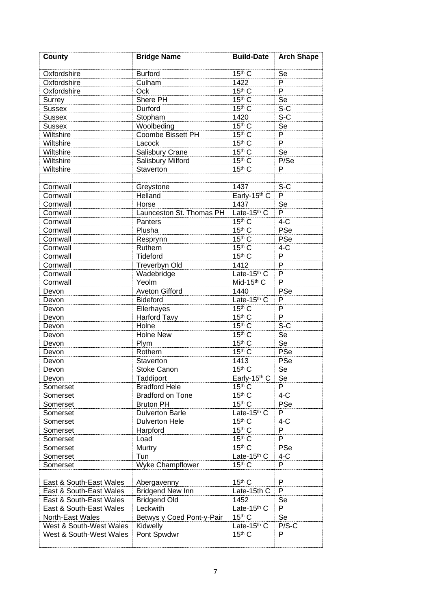| <b>County</b>           | <b>Bridge Name</b>        | <b>Build-Date</b>       | <b>Arch Shape</b> |
|-------------------------|---------------------------|-------------------------|-------------------|
| Oxfordshire             | <b>Burford</b>            | $15th$ C                | Se                |
| Oxfordshire             | Culham                    | 1422                    | P                 |
| Oxfordshire             | Ock                       | 15th C                  | P                 |
| Surrey                  | Shere PH                  | $15th$ $C$              | Se                |
| <b>Sussex</b>           | Durford                   | $15th$ C                | $S-C$             |
| <b>Sussex</b>           | Stopham                   | 1420                    | $S-C$             |
| <b>Sussex</b>           | Woolbeding                | 15th C                  | Se                |
| Wiltshire               | <b>Coombe Bissett PH</b>  | 15th C                  | P                 |
| Wiltshire               | Lacock                    | 15th C                  | P                 |
| Wiltshire               | Salisbury Crane           | 15th C                  | Se                |
| Wiltshire               | Salisbury Milford         | 15th C                  | P/Se              |
| Wiltshire               | Staverton                 | $15th$ C                | P                 |
|                         |                           |                         |                   |
| Cornwall                | Greystone                 | 1437                    | S-C               |
| Cornwall                | Helland                   | Early-15th C            | P                 |
| Cornwall                | Horse                     | 1437                    | Se                |
| Cornwall                | Launceston St. Thomas PH  | Late-15th C             | P                 |
| Cornwall                | Panters                   | 15th C                  | $4-C$             |
| Cornwall                | Plusha                    | 15th C                  | PSe               |
| Cornwall                | Resprynn                  | 15th C                  | PSe               |
| Cornwall                | Ruthern                   | 15th C                  | $4-C$             |
| Cornwall                | Tideford                  | 15th C                  | P                 |
| Cornwall                | Treverbyn Old             | 1412                    | P                 |
| Cornwall                | Wadebridge                | Late-15th C             | P                 |
| Cornwall                | Yeolm                     | Mid-15th C              | P                 |
| Devon                   | <b>Aveton Gifford</b>     | 1440                    | PSe               |
| Devon                   | <b>Bideford</b>           | Late-15th <sub>C</sub>  | P                 |
| Devon                   | Ellerhayes                | $15th$ C                | P                 |
| Devon                   | <b>Harford Tavy</b>       | 15th C                  | P                 |
| Devon                   | Holne                     | 15th C                  | $S-C$             |
| Devon                   | <b>Holne New</b>          | $15th$ C                | Se                |
| Devon                   | Plym                      | $15th$ C                | Se                |
| Devon                   | Rothern                   | 15th C                  | PSe               |
| Devon                   | Staverton                 | 1413                    | PSe               |
| Devon                   | <b>Stoke Canon</b>        | $15th$ C                | Se                |
| Devon                   | Taddiport                 | Early-15th $C$          | Se                |
| Somerset                | <b>Bradford Hele</b>      | $15th$ C                | P                 |
| Somerset                | <b>Bradford on Tone</b>   | $15th$ C                | $4-C$             |
| Somerset                | <b>Bruton PH</b>          | $15th$ C                | PSe               |
| Somerset                | <b>Dulverton Barle</b>    | Late-15th C             | P                 |
| Somerset                | <b>Dulverton Hele</b>     | 15th C                  | 4-C               |
| Somerset                | Harpford                  | $15th$ C                | P                 |
| Somerset                | Load                      | $15th$ C                | P                 |
| Somerset                | Murtry                    | $15th$ C                | PSe               |
| Somerset                | Tun                       | Late-15th C             | 4-C               |
| Somerset                | Wyke Champflower          | $15th$ C                | P                 |
|                         |                           |                         |                   |
| East & South-East Wales | Abergavenny               | $15th$ C                | P                 |
| East & South-East Wales | <b>Bridgend New Inn</b>   | Late-15th C             | P                 |
| East & South-East Wales | <b>Bridgend Old</b>       | 1452                    | Se                |
| East & South-East Wales | Leckwith                  | Late-15 <sup>th</sup> C | P                 |
| North-East Wales        | Betwys y Coed Pont-y-Pair | $15th$ C                | Se                |
| West & South-West Wales | Kidwelly                  | Late-15th C             | $P/S-C$           |
| West & South-West Wales | Pont Spwdwr               | $15th$ C                | $\mathsf{P}$      |
|                         |                           |                         |                   |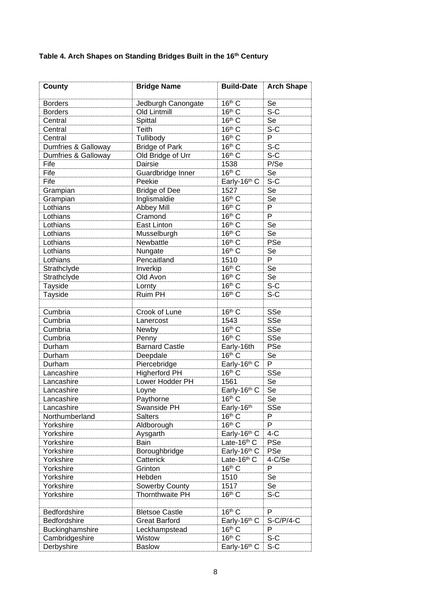## **Table 4. Arch Shapes on Standing Bridges Built in the 16th Century**

| County              | <b>Bridge Name</b>    | <b>Build-Date</b>         | <b>Arch Shape</b> |
|---------------------|-----------------------|---------------------------|-------------------|
| <b>Borders</b>      | Jedburgh Canongate    | 16th C                    | Se                |
| <b>Borders</b>      | Old Lintmill          | 16th C                    | $S-C$             |
| Central             | Spittal               | 16th C                    | Se                |
| Central             | Teith                 | 16th C                    | $S-C$             |
| Central             | Tullibody             | $16th$ C                  | P                 |
| Dumfries & Galloway | <b>Bridge of Park</b> | 16th C                    | $S-C$             |
| Dumfries & Galloway | Old Bridge of Urr     | 16th C                    | $S-C$             |
| Fife                | Dairsie               | 1538                      | P/Se              |
| Fife                | Guardbridge Inner     | 16th C                    | Se                |
| Fife                | Peekie                | Early-16th C              | $S-C$             |
|                     |                       | 1527                      | Se                |
| Grampian            | <b>Bridge of Dee</b>  | 16th C                    |                   |
| Grampian            | Inglismaldie          |                           | Se                |
| Lothians            | <b>Abbey Mill</b>     | 16th C                    | P                 |
| Lothians            | Cramond               | 16th C                    | P                 |
| Lothians            | East Linton           | 16th C                    | Se                |
| Lothians            | Musselburgh           | 16th C                    | Se                |
| Lothians            | Newbattle             | 16th C                    | PSe               |
| Lothians            | Nungate               | 16th C                    | Se                |
| Lothians            | Pencaitland           | 1510                      | P                 |
| Strathclyde         | Inverkip              | 16th C                    | Se                |
| Strathclyde         | Old Avon              | 16th C                    | Se                |
| Tayside             | Lornty                | 16th C                    | $S-C$             |
| Tayside             | Ruim PH               | 16th C                    | $S-C$             |
|                     |                       |                           |                   |
| Cumbria             | Crook of Lune         | 16th C                    | SSe               |
| Cumbria             | Lanercost             | 1543                      | SSe               |
| Cumbria             | Newby                 | 16th C                    | SSe               |
| Cumbria             | Penny                 | 16th C                    | SSe               |
| Durham              | <b>Barnard Castle</b> | Early-16th                | PSe               |
| Durham              | Deepdale              | 16th C                    | Se                |
| Durham              | Piercebridge          | Early-16th C              | P                 |
| Lancashire          | <b>Higherford PH</b>  | 16th C                    | SSe               |
| Lancashire          | Lower Hodder PH       | 1561                      | Se                |
| Lancashire          | Loyne                 | Early-16th C              | Se                |
| Lancashire          | Paythorne             | 16th C                    | Se                |
| Lancashire          | Swanside PH           | Early-16th                | SSe               |
| Northumberland      | <b>Salters</b>        | 16th C                    | P                 |
| Yorkshire           | Aldborough            | 16th C                    | P                 |
| Yorkshire           | Aysgarth              | Early-16th C              | $4-C$             |
| Yorkshire           | Bain                  | Late-16th C               | PSe               |
| Yorkshire           | Boroughbridge         | Early-16th C              | PSe               |
| Yorkshire           | Catterick             | Late-16 <sup>th</sup> $C$ | 4-C/Se            |
| Yorkshire           | Grinton               | 16th C                    | P                 |
| Yorkshire           | Hebden                | 1510                      | Se                |
| Yorkshire           | Sowerby County        | 1517                      | Se                |
| Yorkshire           | Thornthwaite PH       | 16th C                    | $S-C$             |
|                     |                       |                           |                   |
| Bedfordshire        | <b>Bletsoe Castle</b> | $16th$ C                  | P                 |
| Bedfordshire        | <b>Great Barford</b>  | Early-16th C              | $S-C/P/4-C$       |
|                     |                       | 16th C                    | P                 |
| Buckinghamshire     | Leckhampstead         | $16th$ C                  | $S-C$             |
| Cambridgeshire      | Wistow                |                           |                   |
| Derbyshire          | <b>Baslow</b>         | Early-16th C              | $S-C$             |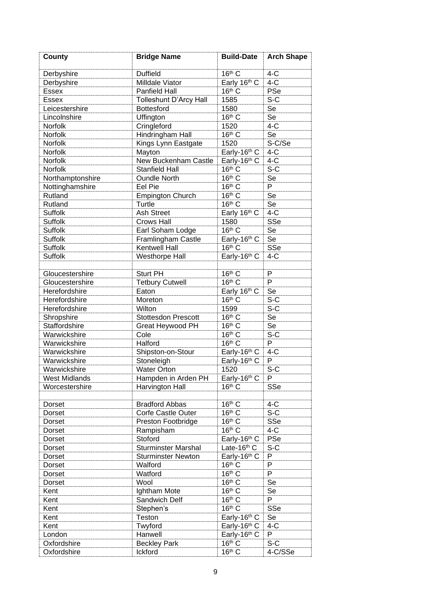| County               | <b>Bridge Name</b>         | <b>Build-Date</b> | <b>Arch Shape</b> |
|----------------------|----------------------------|-------------------|-------------------|
| Derbyshire           | <b>Duffield</b>            | $16th$ C          | $4-C$             |
| Derbyshire           | Milldale Viator            | Early 16th C      | $4-C$             |
| <b>Essex</b>         | Panfield Hall              | $16th$ C          | PSe               |
| <b>Essex</b>         | Tolleshunt D'Arcy Hall     | 1585              | $S-C$             |
| Leicestershire       | <b>Bottesford</b>          | 1580              | Se                |
| Lincolnshire         | Uffington                  | $16th$ C          | Se                |
| <b>Norfolk</b>       | Cringleford                | 1520              | $4-C$             |
| <b>Norfolk</b>       | Hindringham Hall           | 16th C            | Se                |
| <b>Norfolk</b>       | Kings Lynn Eastgate        | 1520              | S-C/Se            |
| <b>Norfolk</b>       | Mayton                     | Early-16th C      | $4-C$             |
| <b>Norfolk</b>       | New Buckenham Castle       | Early-16th C      | $4-C$             |
| <b>Norfolk</b>       | Stanfield Hall             | 16th C            | $S-C$             |
| Northamptonshire     | <b>Oundle North</b>        | 16th C            | Se                |
| Nottinghamshire      | Eel Pie                    | $16th$ C          | P                 |
| Rutland              | <b>Empington Church</b>    | $16th$ C          | Se                |
| Rutland              | Turtle                     | $16th$ C          | Se                |
| Suffolk              | <b>Ash Street</b>          | Early 16th C      | $4-C$             |
| Suffolk              | <b>Crows Hall</b>          | 1580              | <b>SSe</b>        |
| Suffolk              | Earl Soham Lodge           | $16th$ C          | Se                |
| Suffolk              | Framlingham Castle         | Early-16th C      | Se                |
| Suffolk              | <b>Kentwell Hall</b>       | $16th$ C          | <b>SSe</b>        |
| Suffolk              | <b>Westhorpe Hall</b>      | Early-16th C      | $4-C$             |
|                      |                            |                   |                   |
| Gloucestershire      | Sturt PH                   | 16th C            | P                 |
| Gloucestershire      | <b>Tetbury Cutwell</b>     | 16th C            | P                 |
| Herefordshire        | Eaton                      | Early 16th C      | Se                |
| Herefordshire        | Moreton                    | 16th C            | $S-C$             |
| Herefordshire        | Wilton                     | 1599              | $S-C$             |
| Shropshire           | <b>Stottesdon Prescott</b> | 16th C            | Se                |
| Staffordshire        | Great Heywood PH           | 16th C            | Se                |
| Warwickshire         | Cole                       | 16th C            | S-C               |
| Warwickshire         | Halford                    | $16th$ C          | P                 |
| Warwickshire         | Shipston-on-Stour          | Early-16th C      | $4-C$             |
| Warwickshire         | Stoneleigh                 | Early-16th C      | P                 |
| Warwickshire         | <b>Water Orton</b>         | 1520              | $S-C$             |
| <b>West Midlands</b> | Hampden in Arden PH        | Early-16th C      | P                 |
| Worcestershire       | Harvington Hall            | $16th$ C          | SSe               |
|                      |                            |                   |                   |
| Dorset               | <b>Bradford Abbas</b>      | $16th$ C          | $4-C$             |
| Dorset               | <b>Corfe Castle Outer</b>  | 16th C            | $S-C$             |
| Dorset               | Preston Footbridge         | 16th C            | <b>SSe</b>        |
| Dorset               | Rampisham                  | 16th C            | $4-C$             |
| Dorset               | Stoford                    | Early-16th C      | <b>PSe</b>        |
| Dorset               | <b>Sturminster Marshal</b> | Late-16th C       | $S-C$             |
| Dorset               | <b>Sturminster Newton</b>  | Early-16th C      | P                 |
| Dorset               | Walford                    | 16th C            | P                 |
| Dorset               | Watford                    | 16th C            | P                 |
| Dorset               | Wool                       | 16th C            | Se                |
| Kent                 | Ightham Mote               | 16th C            | Se                |
| Kent                 | Sandwich Delf              | 16th C            | P                 |
| Kent                 | Stephen's                  | 16th C            | SSe               |
| Kent                 | Teston                     | Early-16th C      | Se                |
| Kent                 | Twyford                    | Early-16th C      | 4-C               |
| London               | Hanwell                    | Early-16th C      | P                 |
| Oxfordshire          | <b>Beckley Park</b>        | 16th C            | $S-C$             |
| Oxfordshire          | Ickford                    | $16th$ C          | 4-C/SSe           |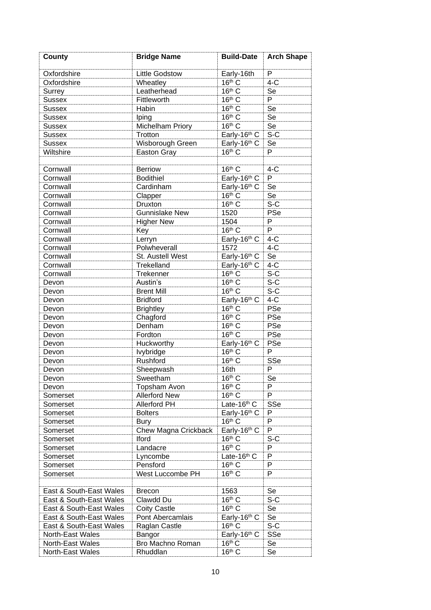| County                  | <b>Bridge Name</b>    | <b>Build-Date</b> | <b>Arch Shape</b> |
|-------------------------|-----------------------|-------------------|-------------------|
| Oxfordshire             | <b>Little Godstow</b> | Early-16th        | P                 |
| Oxfordshire             | Wheatley              | $16th$ C          | $4-C$             |
| Surrey                  | Leatherhead           | $16th$ C          | Se                |
| <b>Sussex</b>           | Fittleworth           | $16th$ C          | P                 |
| <b>Sussex</b>           | Habin                 | $16th$ C          | Se                |
| <b>Sussex</b>           | Iping                 | 16th C            | Se                |
| <b>Sussex</b>           | Michelham Priory      | $16th$ C          | Se                |
| <b>Sussex</b>           | Trotton               | Early-16th C      | $S-C$             |
| <b>Sussex</b>           | Wisborough Green      | Early-16th C      | Se                |
| Wiltshire               | Easton Gray           | 16th C            | P                 |
|                         |                       |                   |                   |
| Cornwall                | <b>Berriow</b>        | $16th$ C          | $4-C$             |
| Cornwall                | <b>Bodithiel</b>      | Early-16th C      | P                 |
| Cornwall                | Cardinham             | Early-16th C      | Se                |
| Cornwall                | Clapper               | 16th C            | Se                |
| Cornwall                | Druxton               | $16th$ C          | $S-C$             |
| Cornwall                | <b>Gunnislake New</b> | 1520              | PSe               |
| Cornwall                | <b>Higher New</b>     | 1504              | P                 |
| Cornwall                | Key                   | $16th$ C          | P                 |
| Cornwall                | Lerryn                | Early-16th C      | $4-C$             |
| Cornwall                | Polwheverall          | 1572              | $4-C$             |
| Cornwall                | St. Austell West      | Early-16th C      | Se                |
| Cornwall                | Trekelland            | Early-16th C      | $4-C$             |
| Cornwall                | Trekenner             | $16th$ C          | $S-C$             |
| Devon                   | Austin's              | $16th$ C          | $S-C$             |
| Devon                   | <b>Brent Mill</b>     | 16th C            | $S-C$             |
| Devon                   | <b>Bridford</b>       | Early-16th C      | $4-C$             |
| Devon                   | <b>Brightley</b>      | $16th$ C          | PSe               |
| Devon                   | Chagford              | $16th$ C          | PSe               |
| Devon                   | Denham                | 16th C            | PSe               |
| Devon                   | Fordton               | 16th C            | PSe               |
| Devon                   | Huckworthy            | Early-16th C      | PSe               |
| Devon                   | lvybridge             | 16th C            | P                 |
| Devon                   | Rushford              | 16th C            | <b>SSe</b>        |
| Devon                   | Sheepwash             | 16th              | P                 |
| Devon                   | Sweetham              | $16th$ C          | Se                |
| Devon                   | Topsham Avon          | $16th$ C          | P                 |
| Somerset                | <b>Allerford New</b>  | 16th C            | P                 |
| Somerset                | <b>Allerford PH</b>   | Late-16th C       | SSe               |
| Somerset                | <b>Bolters</b>        | Early-16th C      | P                 |
| Somerset                | <b>Bury</b>           | 16th C            | P                 |
| Somerset                | Chew Magna Crickback  | Early-16th C      | P                 |
| Somerset                | Iford                 | $16th$ C          | $S-C$             |
| Somerset                | Landacre              | $16th$ C          | P                 |
| Somerset                | Lyncombe              | Late-16th C       | P                 |
| Somerset                | Pensford              | $16th$ C          | P                 |
| Somerset                | West Luccombe PH      | $16th$ C          | P                 |
|                         |                       |                   |                   |
| East & South-East Wales | <b>Brecon</b>         | 1563              | Se                |
| East & South-East Wales | Clawdd Du             | $16th$ C          | S-C               |
| East & South-East Wales | <b>Coity Castle</b>   | 16th C            | Se                |
| East & South-East Wales | Pont Abercamlais      | Early-16th C      | Se                |
| East & South-East Wales | Raglan Castle         | 16th C            | S-C               |
| North-East Wales        | Bangor                | Early-16th C      | SSe               |
| North-East Wales        | Bro Machno Roman      | $16th$ C          | Se                |
| North-East Wales        | Rhuddlan              | $16th$ C          | Se                |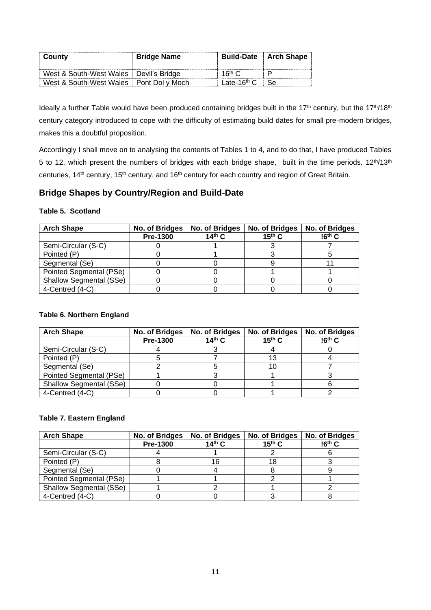| County                                    | <b>Bridge Name</b> |                                 | <b>Build-Date</b> Arch Shape |
|-------------------------------------------|--------------------|---------------------------------|------------------------------|
| West & South-West Wales   Devil's Bridge  |                    | 16 <sup>th</sup> $\sim$         |                              |
| West & South-West Wales   Pont Dol y Moch |                    | Late-16 <sup>th</sup> C $\,$ Se |                              |

Ideally a further Table would have been produced containing bridges built in the 17<sup>th</sup> century, but the 17<sup>th</sup>/18<sup>th</sup> century category introduced to cope with the difficulty of estimating build dates for small pre-modern bridges, makes this a doubtful proposition.

Accordingly I shall move on to analysing the contents of Tables 1 to 4, and to do that, I have produced Tables 5 to 12, which present the numbers of bridges with each bridge shape, built in the time periods, 12<sup>th</sup>/13<sup>th</sup> centuries, 14<sup>th</sup> century, 15<sup>th</sup> century, and 16<sup>th</sup> century for each country and region of Great Britain.

### **Bridge Shapes by Country/Region and Build-Date**

### **Table 5. Scotland**

| <b>Arch Shape</b>              | No. of Bridges  | No. of Bridges | No. of Bridges | No. of Bridges     |
|--------------------------------|-----------------|----------------|----------------|--------------------|
|                                | <b>Pre-1300</b> | $14th$ C       | $15^{th}$ C    | !6 <sup>th</sup> C |
| Semi-Circular (S-C)            |                 |                |                |                    |
| Pointed (P)                    |                 |                |                |                    |
| Segmental (Se)                 |                 |                |                |                    |
| Pointed Segmental (PSe)        |                 |                |                |                    |
| <b>Shallow Segmental (SSe)</b> |                 |                |                |                    |
| 4-Centred (4-C)                |                 |                |                |                    |

#### **Table 6. Northern England**

| <b>Arch Shape</b>              | No. of Bridges<br><b>No. of Bridges</b> |          | <b>No. of Bridges</b> | <b>No. of Bridges</b> |  |
|--------------------------------|-----------------------------------------|----------|-----------------------|-----------------------|--|
|                                | <b>Pre-1300</b>                         | 14th $C$ | $15th$ C              | $16th$ C              |  |
| Semi-Circular (S-C)            |                                         |          |                       |                       |  |
| Pointed (P)                    |                                         |          | 13                    |                       |  |
| Segmental (Se)                 |                                         |          | 10                    |                       |  |
| Pointed Segmental (PSe)        |                                         |          |                       |                       |  |
| <b>Shallow Segmental (SSe)</b> |                                         |          |                       |                       |  |
| 4-Centred (4-C)                |                                         |          |                       |                       |  |

### **Table 7. Eastern England**

| <b>Arch Shape</b>              | No. of Bridges  | No. of Bridges | No. of Bridges | No. of Bridges     |
|--------------------------------|-----------------|----------------|----------------|--------------------|
|                                | <b>Pre-1300</b> | $14th$ C       | $15^{th}$ C    | !6 <sup>th</sup> C |
| Semi-Circular (S-C)            |                 |                |                |                    |
| Pointed (P)                    |                 |                | 18             |                    |
| Segmental (Se)                 |                 |                |                |                    |
| Pointed Segmental (PSe)        |                 |                |                |                    |
| <b>Shallow Segmental (SSe)</b> |                 |                |                |                    |
| 4-Centred (4-C)                |                 |                |                |                    |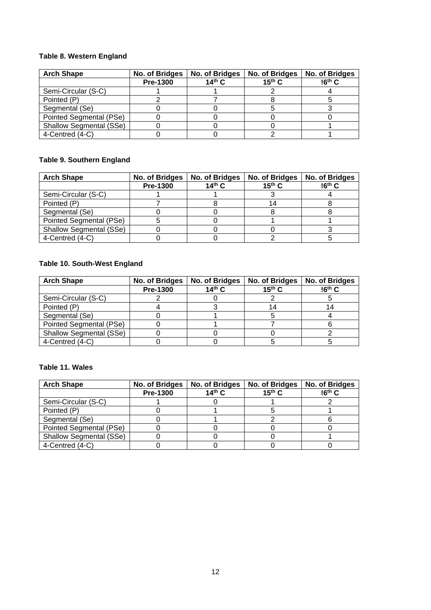### **Table 8. Western England**

| <b>Arch Shape</b>              | No. of Bridges  | No. of Bridges | No. of Bridges | No. of Bridges |
|--------------------------------|-----------------|----------------|----------------|----------------|
|                                | <b>Pre-1300</b> | $14th$ C       | $15th$ C       | $16th$ C       |
| Semi-Circular (S-C)            |                 |                |                |                |
| Pointed (P)                    |                 |                |                |                |
| Segmental (Se)                 |                 |                |                |                |
| Pointed Segmental (PSe)        |                 |                |                |                |
| <b>Shallow Segmental (SSe)</b> |                 |                |                |                |
| 4-Centred (4-C)                |                 |                |                |                |

### **Table 9. Southern England**

| <b>Arch Shape</b>              | No. of Bridges  | <b>No. of Bridges</b> | No. of Bridges | <b>No. of Bridges</b> |
|--------------------------------|-----------------|-----------------------|----------------|-----------------------|
|                                | <b>Pre-1300</b> | $14th$ C              | $15th$ C       | $16th$ C              |
| Semi-Circular (S-C)            |                 |                       |                |                       |
| Pointed (P)                    |                 |                       |                |                       |
| Segmental (Se)                 |                 |                       |                |                       |
| Pointed Segmental (PSe)        |                 |                       |                |                       |
| <b>Shallow Segmental (SSe)</b> |                 |                       |                |                       |
| 4-Centred (4-C)                |                 |                       |                |                       |

### **Table 10. South-West England**

| <b>Arch Shape</b>       | No. of Bridges  | No. of Bridges | No. of Bridges | No. of Bridges |
|-------------------------|-----------------|----------------|----------------|----------------|
|                         | <b>Pre-1300</b> | $14th$ C       | $15th$ C       | $16th$ C       |
| Semi-Circular (S-C)     |                 |                |                |                |
| Pointed (P)             |                 |                | 14             |                |
| Segmental (Se)          |                 |                |                |                |
| Pointed Segmental (PSe) |                 |                |                |                |
| Shallow Segmental (SSe) |                 |                |                |                |
| 4-Centred (4-C)         |                 |                |                |                |

### **Table 11. Wales**

| <b>Arch Shape</b>       | <b>No. of Bridges</b> | No. of Bridges | <b>No. of Bridges</b> | No. of Bridges |
|-------------------------|-----------------------|----------------|-----------------------|----------------|
|                         | <b>Pre-1300</b>       | $14th$ C       | $15th$ C              | $16th$ C       |
| Semi-Circular (S-C)     |                       |                |                       |                |
| Pointed (P)             |                       |                |                       |                |
| Segmental (Se)          |                       |                |                       |                |
| Pointed Segmental (PSe) |                       |                |                       |                |
| Shallow Segmental (SSe) |                       |                |                       |                |
| 4-Centred (4-C)         |                       |                |                       |                |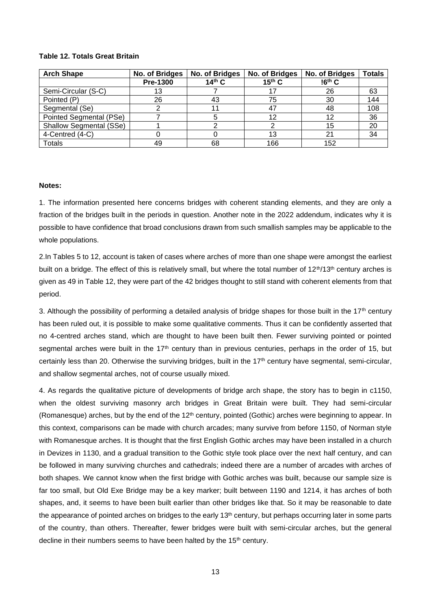#### **Table 12. Totals Great Britain**

| <b>Arch Shape</b>       | No. of Bridges | No. of Bridges | No. of Bridges | No. of Bridges | <b>Totals</b> |
|-------------------------|----------------|----------------|----------------|----------------|---------------|
|                         | Pre-1300       | $14th$ C       | $15th$ C       | $16th$ C       |               |
| Semi-Circular (S-C)     | 13             |                |                | 26             | 63            |
| Pointed (P)             | 26             | 43             | 75             | 30             | 144           |
| Segmental (Se)          |                |                | 47             | 48             | 108           |
| Pointed Segmental (PSe) |                |                | 12             | 12             | 36            |
| Shallow Segmental (SSe) |                |                |                | 15             | 20            |
| 4-Centred (4-C)         |                |                | 13             | 21             | 34            |
| <b>Totals</b>           | 49             | 68             | 166            | 152            |               |

#### **Notes:**

1. The information presented here concerns bridges with coherent standing elements, and they are only a fraction of the bridges built in the periods in question. Another note in the 2022 addendum, indicates why it is possible to have confidence that broad conclusions drawn from such smallish samples may be applicable to the whole populations.

2.In Tables 5 to 12, account is taken of cases where arches of more than one shape were amongst the earliest built on a bridge. The effect of this is relatively small, but where the total number of  $12<sup>th</sup>/13<sup>th</sup>$  century arches is given as 49 in Table 12, they were part of the 42 bridges thought to still stand with coherent elements from that period.

3. Although the possibility of performing a detailed analysis of bridge shapes for those built in the 17<sup>th</sup> century has been ruled out, it is possible to make some qualitative comments. Thus it can be confidently asserted that no 4-centred arches stand, which are thought to have been built then. Fewer surviving pointed or pointed segmental arches were built in the 17<sup>th</sup> century than in previous centuries, perhaps in the order of 15, but certainly less than 20. Otherwise the surviving bridges, built in the 17<sup>th</sup> century have segmental, semi-circular, and shallow segmental arches, not of course usually mixed.

4. As regards the qualitative picture of developments of bridge arch shape, the story has to begin in c1150, when the oldest surviving masonry arch bridges in Great Britain were built. They had semi-circular (Romanesque) arches, but by the end of the 12<sup>th</sup> century, pointed (Gothic) arches were beginning to appear. In this context, comparisons can be made with church arcades; many survive from before 1150, of Norman style with Romanesque arches. It is thought that the first English Gothic arches may have been installed in a church in Devizes in 1130, and a gradual transition to the Gothic style took place over the next half century, and can be followed in many surviving churches and cathedrals; indeed there are a number of arcades with arches of both shapes. We cannot know when the first bridge with Gothic arches was built, because our sample size is far too small, but Old Exe Bridge may be a key marker; built between 1190 and 1214, it has arches of both shapes, and, it seems to have been built earlier than other bridges like that. So it may be reasonable to date the appearance of pointed arches on bridges to the early 13<sup>th</sup> century, but perhaps occurring later in some parts of the country, than others. Thereafter, fewer bridges were built with semi-circular arches, but the general decline in their numbers seems to have been halted by the 15<sup>th</sup> century.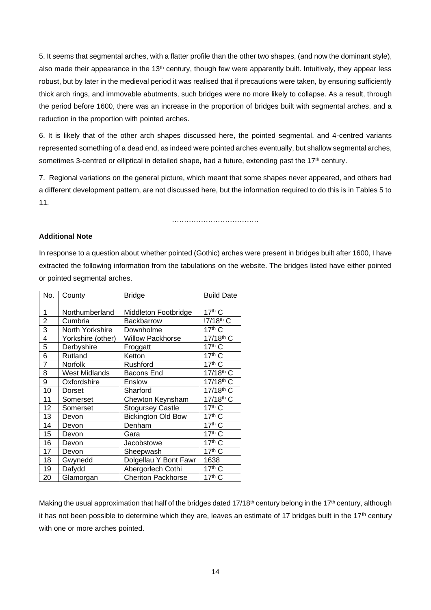5. It seems that segmental arches, with a flatter profile than the other two shapes, (and now the dominant style), also made their appearance in the 13<sup>th</sup> century, though few were apparently built. Intuitively, they appear less robust, but by later in the medieval period it was realised that if precautions were taken, by ensuring sufficiently thick arch rings, and immovable abutments, such bridges were no more likely to collapse. As a result, through the period before 1600, there was an increase in the proportion of bridges built with segmental arches, and a reduction in the proportion with pointed arches.

6. It is likely that of the other arch shapes discussed here, the pointed segmental, and 4-centred variants represented something of a dead end, as indeed were pointed arches eventually, but shallow segmental arches, sometimes 3-centred or elliptical in detailed shape, had a future, extending past the  $17<sup>th</sup>$  century.

7. Regional variations on the general picture, which meant that some shapes never appeared, and others had a different development pattern, are not discussed here, but the information required to do this is in Tables 5 to 11.

………………………………

### **Additional Note**

In response to a question about whether pointed (Gothic) arches were present in bridges built after 1600, I have extracted the following information from the tabulations on the website. The bridges listed have either pointed or pointed segmental arches.

| No.            | County               | <b>Bridge</b>             | <b>Build Date</b>               |
|----------------|----------------------|---------------------------|---------------------------------|
| 1              | Northumberland       | Middleton Footbridge      | $17th$ C                        |
| $\overline{2}$ | Cumbria              | <b>Backbarrow</b>         | !7/18 <sup>th</sup> C           |
| 3              | North Yorkshire      | Downholme                 | $17th$ C                        |
| 4              | Yorkshire (other)    | <b>Willow Packhorse</b>   | 17/18 <sup>th</sup> C           |
| 5              | Derbyshire           | Froggatt                  | $17th$ C                        |
| 6              | Rutland              | Ketton                    | $17th$ C                        |
| 7              | <b>Norfolk</b>       | Rushford                  | $\overline{17}$ <sup>th</sup> C |
| 8              | <b>West Midlands</b> | Bacons End                | 17/18th C                       |
| 9              | Oxfordshire          | Enslow                    | 17/18 <sup>th</sup> C           |
| 10             | Dorset               | Sharford                  | 17/18th C                       |
| 11             | Somerset             | Chewton Keynsham          | 17/18th C                       |
| 12             | Somerset             | <b>Stogursey Castle</b>   | $17th$ C                        |
| 13             | Devon                | <b>Bickington Old Bow</b> | $17th$ C                        |
| 14             | Devon                | Denham                    | $17th$ C                        |
| 15             | Devon                | Gara                      | $17th$ C                        |
| 16             | Devon                | Jacobstowe                | $17th$ C                        |
| 17             | Devon                | Sheepwash                 | $17th$ C                        |
| 18             | Gwynedd              | Dolgellau Y Bont Fawr     | 1638                            |
| 19             | Dafydd               | Abergorlech Cothi         | $17th$ C                        |
| 20             | Glamorgan            | <b>Cheriton Packhorse</b> | $17th$ C                        |

Making the usual approximation that half of the bridges dated 17/18<sup>th</sup> century belong in the 17<sup>th</sup> century, although it has not been possible to determine which they are, leaves an estimate of 17 bridges built in the  $17<sup>th</sup>$  century with one or more arches pointed.